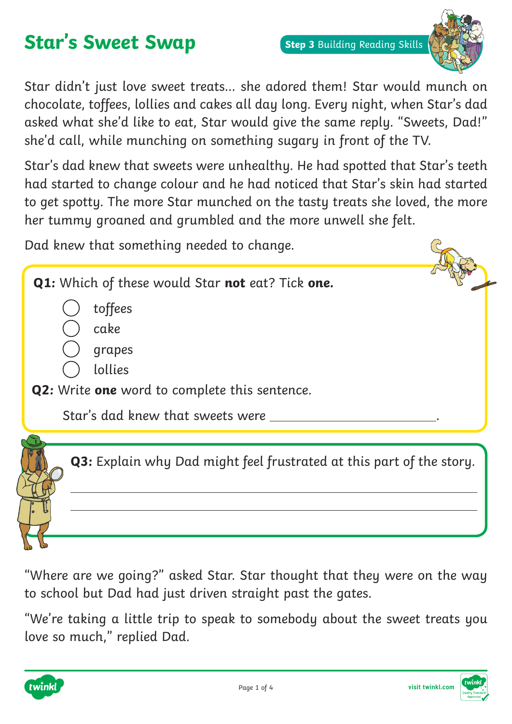# **Star's Sweet Swap**



Star didn't just love sweet treats… she adored them! Star would munch on chocolate, toffees, lollies and cakes all day long. Every night, when Star's dad asked what she'd like to eat, Star would give the same reply. "Sweets, Dad!" she'd call, while munching on something sugary in front of the TV.

Star's dad knew that sweets were unhealthy. He had spotted that Star's teeth had started to change colour and he had noticed that Star's skin had started to get spotty. The more Star munched on the tasty treats she loved, the more her tummy groaned and grumbled and the more unwell she felt.

Dad knew that something needed to change.



"Where are we going?" asked Star. Star thought that they were on the way to school but Dad had just driven straight past the gates.

"We're taking a little trip to speak to somebody about the sweet treats you love so much," replied Dad.



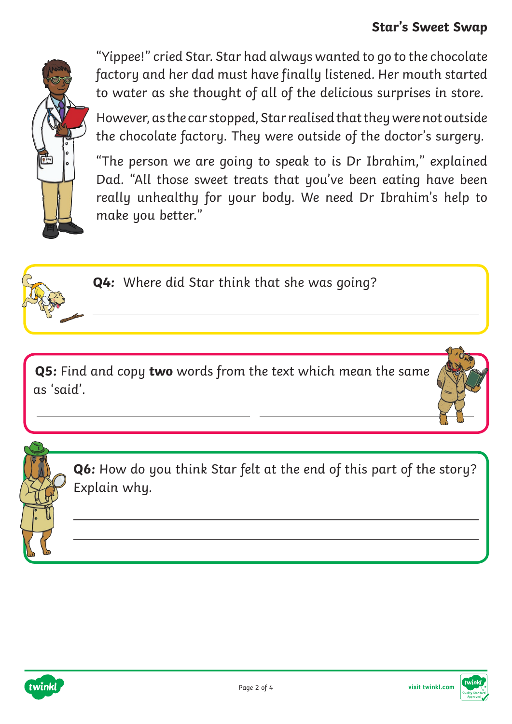#### **Star's Sweet Swap**



"Yippee!" cried Star. Star had always wanted to go to the chocolate factory and her dad must have finally listened. Her mouth started to water as she thought of all of the delicious surprises in store.

However, as the car stopped, Star realised that they were not outside the chocolate factory. They were outside of the doctor's surgery.

"The person we are going to speak to is Dr Ibrahim," explained Dad. "All those sweet treats that you've been eating have been really unhealthy for your body. We need Dr Ibrahim's help to make you better."



 $\overline{a}$ 

**Q4:** Where did Star think that she was going?

**Q5:** Find and copy **two** words from the text which mean the same as 'said'.

**Q6:** How do you think Star felt at the end of this part of the story? Explain why.



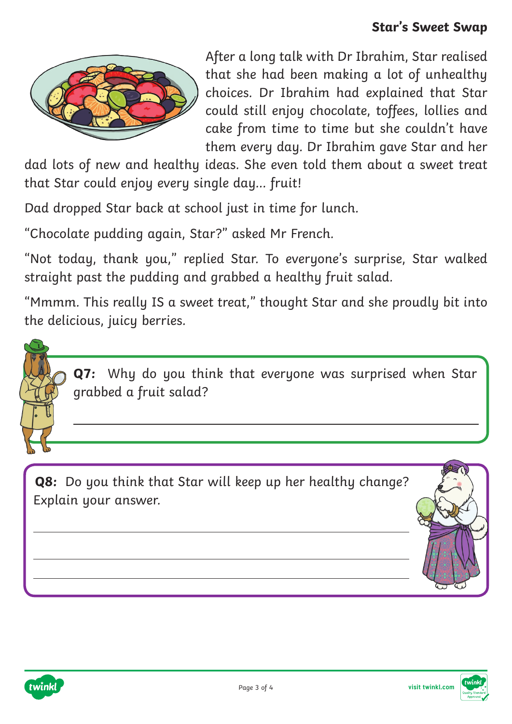

After a long talk with Dr Ibrahim, Star realised that she had been making a lot of unhealthy choices. Dr Ibrahim had explained that Star could still enjoy chocolate, toffees, lollies and cake from time to time but she couldn't have them every day. Dr Ibrahim gave Star and her

dad lots of new and healthy ideas. She even told them about a sweet treat that Star could enjoy every single day… fruit!

Dad dropped Star back at school just in time for lunch.

"Chocolate pudding again, Star?" asked Mr French.

"Not today, thank you," replied Star. To everyone's surprise, Star walked straight past the pudding and grabbed a healthy fruit salad.

"Mmmm. This really IS a sweet treat," thought Star and she proudly bit into the delicious, juicy berries.



**Q7:** Why do you think that everyone was surprised when Star grabbed a fruit salad?

**Q8:** Do you think that Star will keep up her healthy change? Explain your answer.





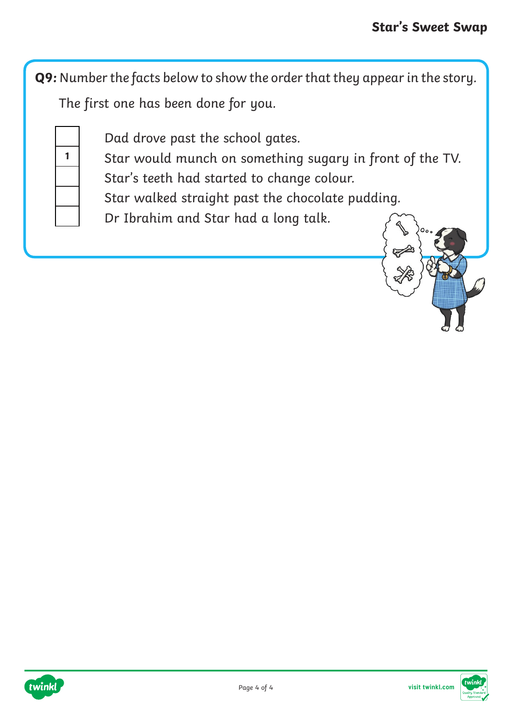**Q9:** Number the facts below to show the order that they appear in the story. The first one has been done for you.

Dad drove past the school gates.

**1** Star would munch on something sugary in front of the TV.

Star's teeth had started to change colour.

Star walked straight past the chocolate pudding.

Dr Ibrahim and Star had a long talk.





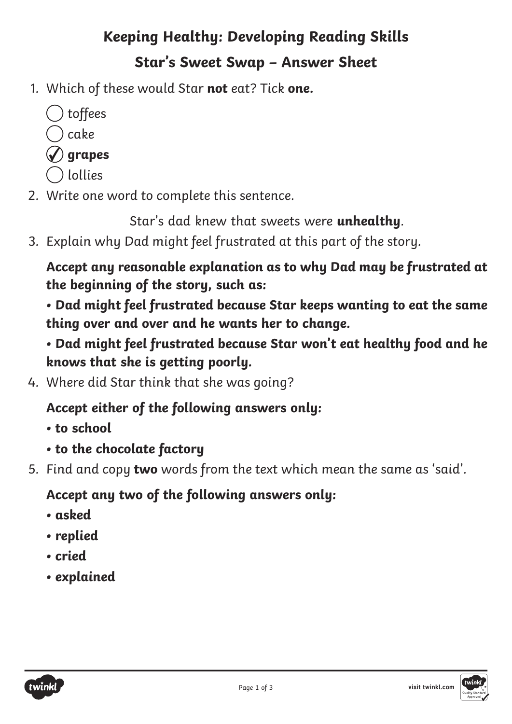## **Keeping Healthy: Developing Reading Skills Star's Sweet Swap – Answer Sheet**

- 1. Which of these would Star **not** eat? Tick **one.**
	- $( )$  toffees cake **grapes**
	- lollies
- 2. Write one word to complete this sentence.

Star's dad knew that sweets were **unhealthy**.

3. Explain why Dad might feel frustrated at this part of the story.

**Accept any reasonable explanation as to why Dad may be frustrated at the beginning of the story, such as:**

**• Dad might feel frustrated because Star keeps wanting to eat the same thing over and over and he wants her to change.**

**• Dad might feel frustrated because Star won't eat healthy food and he knows that she is getting poorly.**

4. Where did Star think that she was going?

### **Accept either of the following answers only:**

- **• to school**
- **• to the chocolate factory**
- 5. Find and copy **two** words from the text which mean the same as 'said'.

### **Accept any two of the following answers only:**

- **• asked**
- **• replied**
- **• cried**
- **• explained**



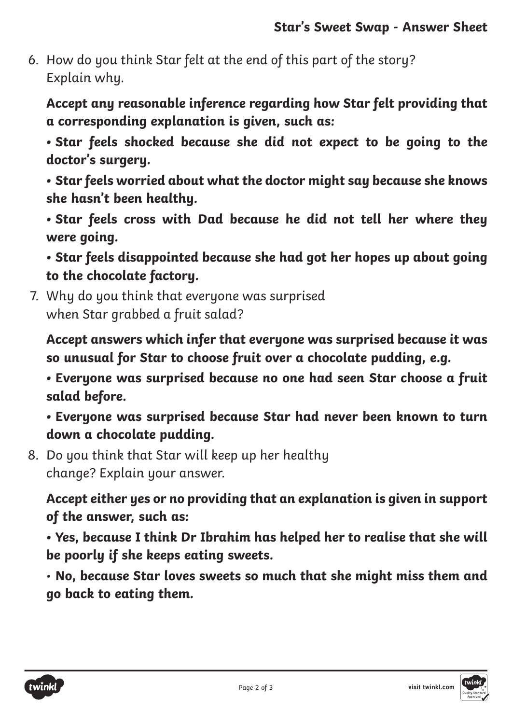6. How do you think Star felt at the end of this part of the story? Explain why.

**Accept any reasonable inference regarding how Star felt providing that a corresponding explanation is given, such as:**

**• Star feels shocked because she did not expect to be going to the doctor's surgery.**

**• Star feels worried about what the doctor might say because she knows she hasn't been healthy.**

**• Star feels cross with Dad because he did not tell her where they were going.**

**• Star feels disappointed because she had got her hopes up about going to the chocolate factory.**

7. Why do you think that everyone was surprised when Star grabbed a fruit salad?

**Accept answers which infer that everyone was surprised because it was so unusual for Star to choose fruit over a chocolate pudding, e.g.**

**• Everyone was surprised because no one had seen Star choose a fruit salad before.**

**• Everyone was surprised because Star had never been known to turn down a chocolate pudding.**

8. Do you think that Star will keep up her healthy change? Explain your answer.

**Accept either yes or no providing that an explanation is given in support of the answer, such as:**

**• Yes, because I think Dr Ibrahim has helped her to realise that she will be poorly if she keeps eating sweets.**

• **No, because Star loves sweets so much that she might miss them and go back to eating them.**